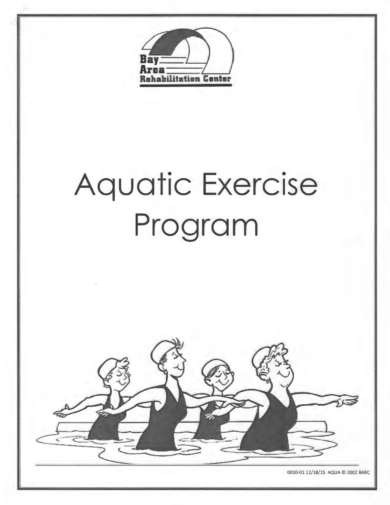

# **Aquatic Exercise Program**



0010-0112/18/15 AQUA © 2002 BARC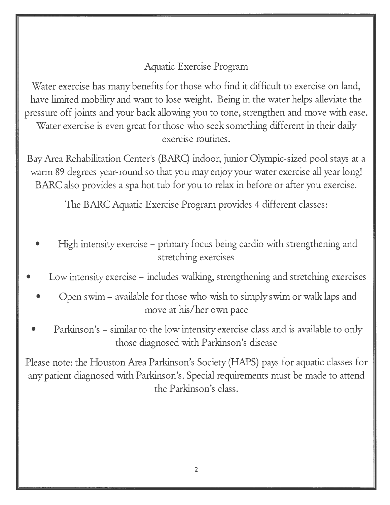#### Aquatic Exercise Program

Water exercise has many benefits for those who find it difficult to exercise on land, have limited mobility and want to lose weight. Being in the water helps alleviate the pressure off joints and your back allowing you to tone, strengthen and move with ease. Water exercise is even great for those who seek something different in their daily . . exercISe routmes.

Bay Area Rehabilitation Center's (BARQ indoor, junior Olympic-sized pool stays at a warm 89 degrees year-round so that you may enjoy your water exercise all year long! BARC also provides a spa hot tub for you to relax in before or after you exercise.

The BARC Aquatic Exercise Program provides 4 different classes:

- High intensity exercise primary focus being cardio with strengthening and stretching exercises
- Low intensity exercise includes walking, strengthening and stretching exercises
	- Open swim available for those who wish to simply swim or walk laps and move at his/her own pace
	- Parkinson's similar to the low intensity exercise class and is available to only those diagnosed with Parkinson's disease

Please note: the Houston Area Parkinson's Society **(HAPS)** pays for aquatic classes for any patient diagnosed with Parkinson's. Special requirements must be made to attend the Parkinson's class.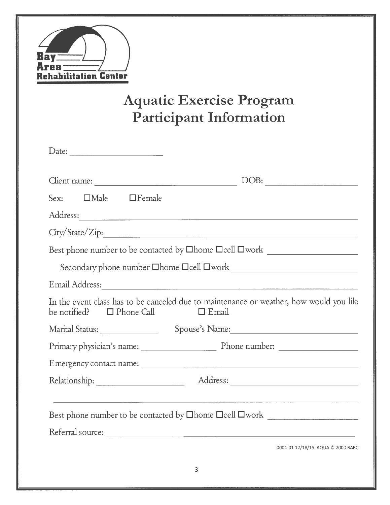

## **Aquatic Exercise Program Participant Information**

| Date:                                                                                                                                  |
|----------------------------------------------------------------------------------------------------------------------------------------|
| DOB:                                                                                                                                   |
| Sex: <b>IDMale</b> IFemale                                                                                                             |
|                                                                                                                                        |
|                                                                                                                                        |
|                                                                                                                                        |
|                                                                                                                                        |
| Email Address: Notes and Address:                                                                                                      |
| In the event class has to be canceled due to maintenance or weather, how would you like<br>be notified? $\Box$ Phone Call $\Box$ Email |
|                                                                                                                                        |
|                                                                                                                                        |
|                                                                                                                                        |
| Relationship: Address: Address:                                                                                                        |
| Best phone number to be contacted by <b>Ohome Ocell Owork</b>                                                                          |
|                                                                                                                                        |
| 0001-01 12/18/15 AQUA @ 2000 BARC                                                                                                      |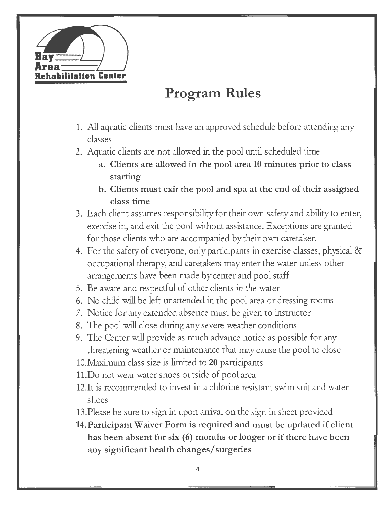

## **Program Rules**

- 1. All aquatic clients must have an approved schedule before attending any classes
- 2. Aquatic clients are not allowed in the pool until scheduled time
	- **a. Clients are allowed in the pool area 10 minutes prior to class starting**
	- **b. Clients must exit the pool and spa at the end of their assigned class time**
- 3. Each client assumes responsibility for their own safety and ability to enter, exercise in, and exit the pool without assistance. Exceptions are granted for those clients who are accompanied by their own caretaker.
- 4. For the safety of everyone, only participants in exercise classes, physical & occupational therapy, and caretakers may enter the water unless other arrangements have been made by center and pool staff
- 5. Be aware and respectful of other clients in the water
- 6. No child will be left unattended in the pool area or dressing rooms
- 7. Notice for any extended absence must be given to instructor
- 8. The pool will close during any severe weather conditions
- 9. The Center will provide as much advance notice as possible for any threatening weather or maintenance that may cause the pool to close
- 10.Maximum class size is limited to **20** participants
- 11.Do not wear water shoes outside of pool area
- 12.It is recommended to invest in a chlorine resistant swim suit and water shoes
- 13.Please be sure to sign in upon arrival on the sign in sheet provided
- **14.Participant Waiver Form is required and must be updated if client has been absent for six (6) months or longer or** if **there have been any significant health changes/ surgeries**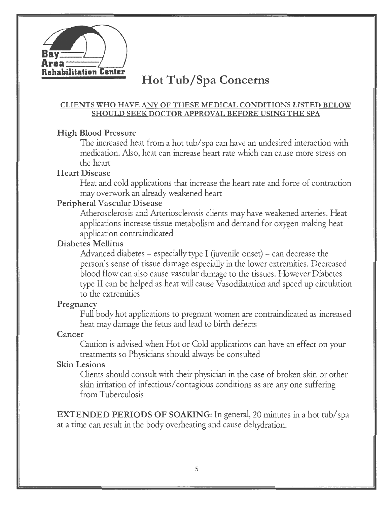

### **Hot Tub/Spa Concerns**

#### **CLIENTS WHO HA VE ANY OF THESE MEDICAL CONDITIONS LISTED BELOW SHOULD SEEK DOCTOR APPROVAL BEFORE USING THE SPA**

#### **High Blood Pressure**

The increased heat from a hot tub/ spa can have an undesired interaction with medication. Also, heat can increase heart rate which can cause more stress on the heart

#### **Heart Disease**

Heat and cold applications that increase the heart rate and force of contraction may overwork an already weakened heart

#### **Peripheral Vascular Disease**

Atherosclerosis and Arteriosclerosis clients may have weakened arteries. Heat applications increase tissue metabolism and demand for oxygen making heat application contraindicated

#### **Diabetes Mellitus**

Advanced diabetes – especially type I (juvenile onset) – can decrease the person's sense of tissue damage especially in the lower extremities. Decreased blood flow can also cause vascular damage to the tissues. However Diabetes type II can be helped as heat will cause Vasodilatation and speed up circulation to the extremities

#### **Pregnancy**

Full body hot applications to pregnant women are contraindicated as increased heat may damage the fetus and lead to birth defects

#### **Cancer**

Caution is advised when Hot or Cold applications can have an effect on your treatments so Physicians should always be consulted

#### **Skin Lesions**

Clients should consult with their physician in the case of broken skin or other skin irritation of infectious/ contagious conditions as are any one suffering from Tuberculosis

**EXTENDED PERIODS OF SOAKING:** In general, 20 minutes in a hot tub/spa at a time can result in the body overheating and cause dehydration.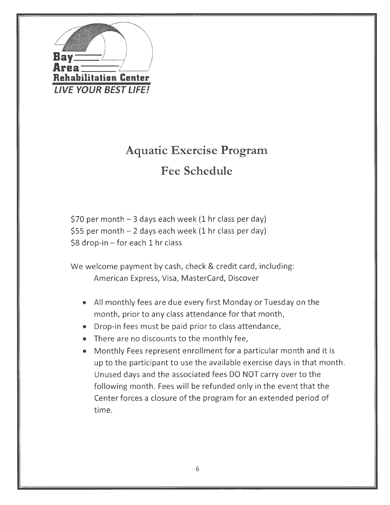

## **Aquatic Exercise Program Fee Schedule**

\$70 per month  $-3$  days each week (1 hr class per day) \$55 per month  $-2$  days each week (1 hr class per day)  $$8$  drop-in - for each 1 hr class

We welcome payment by cash, check & credit card, including: American Express, Visa, MasterCard, Discover

- All monthly fees are due every first Monday or Tuesday on the month, prior to any class attendance for that month,
- Drop-in fees must be paid prior to class attendance,
- There are no discounts to the monthly fee,
- Monthly Fees represent enrollment for a particular month and it is up to the participant to use the available exercise days in that month. Unused days and the associated fees DO NOT carry over to the following month. Fees will be refunded only in the event that the Center forces a closure of the program for an extended period of time.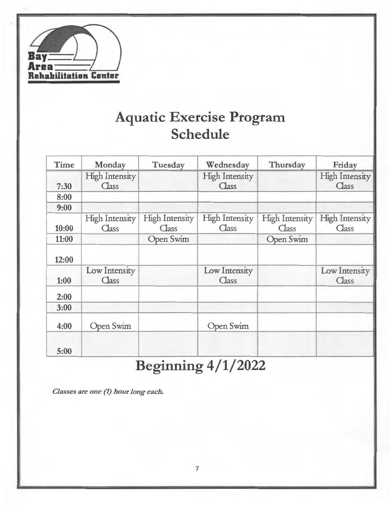

## **Aquatic Exercise Program Schedule**

| Time  | Monday                         | Tuesday                        | Wednesday                      | Thursday                       | Friday                         |
|-------|--------------------------------|--------------------------------|--------------------------------|--------------------------------|--------------------------------|
| 7:30  | <b>High Intensity</b><br>Class |                                | <b>High Intensity</b><br>Class |                                | <b>High Intensity</b><br>Class |
| 8:00  |                                |                                |                                |                                |                                |
| 9:00  |                                |                                |                                |                                |                                |
| 10:00 | <b>High Intensity</b><br>Class | <b>High Intensity</b><br>Class | <b>High Intensity</b><br>Class | <b>High Intensity</b><br>Class | <b>High Intensity</b><br>Class |
| 11:00 |                                | Open Swim                      |                                | Open Swim                      |                                |
| 12:00 |                                |                                |                                |                                |                                |
| 1:00  | Low Intensity<br>Class         |                                | Low Intensity<br>Class         |                                | Low Intensity<br>Class         |
| 2:00  |                                |                                |                                |                                |                                |
| 3:00  |                                |                                |                                |                                |                                |
| 4:00  | Open Swim                      |                                | Open Swim                      |                                |                                |
| 5:00  |                                |                                |                                |                                |                                |

## **Beginning 4/1/2022**

*Classes are one (1) hour Jong each.*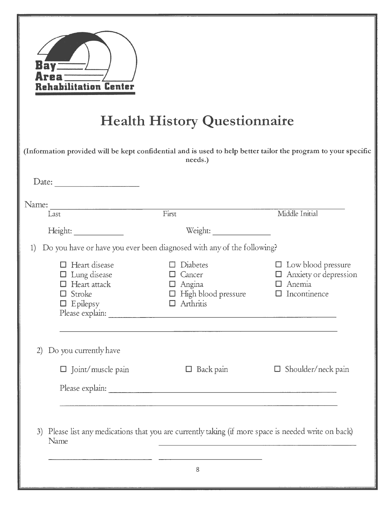| Bav<br>rea<br>ehabilitation Center                                                                     | <b>Health History Questionnaire</b>                                                                                       |                                                                                          |
|--------------------------------------------------------------------------------------------------------|---------------------------------------------------------------------------------------------------------------------------|------------------------------------------------------------------------------------------|
|                                                                                                        | (Information provided will be kept confidential and is used to help better tailor the program to your specific<br>needs.) |                                                                                          |
| Date:                                                                                                  |                                                                                                                           |                                                                                          |
| Name:<br>Last                                                                                          | First                                                                                                                     | Middle Initial                                                                           |
| Height:                                                                                                | Weight:                                                                                                                   |                                                                                          |
| 1)                                                                                                     | Do you have or have you ever been diagnosed with any of the following?                                                    |                                                                                          |
| $\Box$ Heart disease<br>$\Box$ Lung disease<br>$\Box$ Heart attack<br>$\Box$ Stroke<br>$\Box$ Epilepsy | Diabetes<br>$\Box$ Cancer<br>$\Box$ Angina<br>$\Box$ High blood pressure<br>$\Box$ Arthritis                              | $\Box$ Low blood pressure<br>$\Box$ Anxiety or depression<br>Anemia<br>Incontinence<br>□ |
| Do you currently have<br>(2)                                                                           |                                                                                                                           |                                                                                          |
| $\Box$ Joint/muscle pain                                                                               | $\Box$ Back pain                                                                                                          | $\Box$ Shoulder/neck pain                                                                |
|                                                                                                        |                                                                                                                           |                                                                                          |
| 3)<br>Name                                                                                             | Please list any medications that you are currently taking (if more space is needed write on back)                         |                                                                                          |
|                                                                                                        | 8                                                                                                                         |                                                                                          |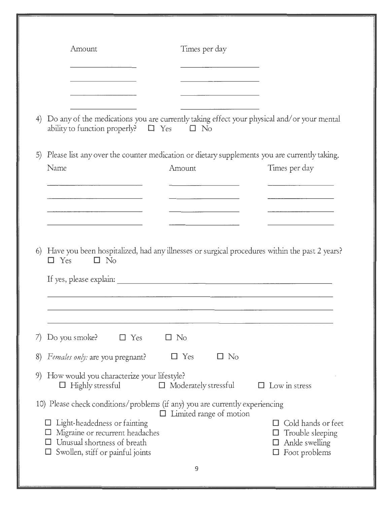|                                                                                                                                                                                                                                      | Times per day                                                                                 |                                                                    |
|--------------------------------------------------------------------------------------------------------------------------------------------------------------------------------------------------------------------------------------|-----------------------------------------------------------------------------------------------|--------------------------------------------------------------------|
|                                                                                                                                                                                                                                      |                                                                                               |                                                                    |
| 4)<br>ability to function properly? $\Box$ Yes $\Box$ No                                                                                                                                                                             | Do any of the medications you are currently taking effect your physical and/or your mental    |                                                                    |
| 5)                                                                                                                                                                                                                                   | Please list any over the counter medication or dietary supplements you are currently taking.  |                                                                    |
| Name                                                                                                                                                                                                                                 | Amount                                                                                        | Times per day                                                      |
| <u> The Communication of the Communication of the Communication of the Communication of the Communication of the Communication of the Communication of the Communication of the Communication of the Communication of the Commun</u> |                                                                                               |                                                                    |
|                                                                                                                                                                                                                                      |                                                                                               |                                                                    |
|                                                                                                                                                                                                                                      |                                                                                               |                                                                    |
| 6)<br>$\Box$ Yes<br>$\square$ No                                                                                                                                                                                                     | Have you been hospitalized, had any illnesses or surgical procedures within the past 2 years? |                                                                    |
|                                                                                                                                                                                                                                      |                                                                                               |                                                                    |
|                                                                                                                                                                                                                                      |                                                                                               |                                                                    |
|                                                                                                                                                                                                                                      |                                                                                               |                                                                    |
| Do you smoke?<br>$\Box$ Yes<br>7)                                                                                                                                                                                                    | $\Box$ No                                                                                     |                                                                    |
| Females only: are you pregnant?<br>8)                                                                                                                                                                                                | $\Box$ Yes<br>$\Box$ No                                                                       |                                                                    |
| How would you characterize your lifestyle?<br>9)<br>$\Box$ Highly stressful                                                                                                                                                          | $\Box$ Moderately stressful                                                                   | $\Box$ Low in stress                                               |
|                                                                                                                                                                                                                                      | 10) Please check conditions/problems (if any) you are currently experiencing                  |                                                                    |
| Light-headedness or fainting<br>Migraine or recurrent headaches<br>Unusual shortness of breath                                                                                                                                       | $\Box$ Limited range of motion                                                                | Cold hands or feet<br>U<br>Trouble sleeping<br>⊔<br>Ankle swelling |
| Swollen, stiff or painful joints                                                                                                                                                                                                     |                                                                                               | Foot problems<br>□                                                 |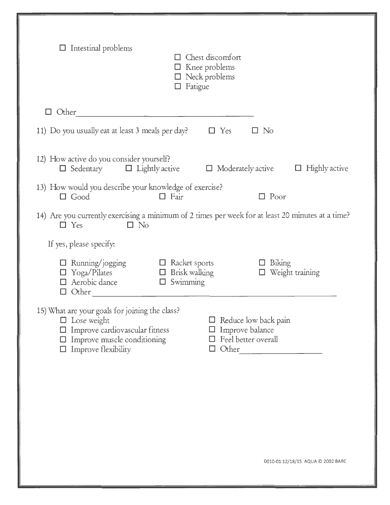| $\Box$ Intestinal problems                                                                                                                                                        | $\Box$ Chest discomfort<br>$\Box$ Knee problems<br>$\Box$ Neck problems<br>$\Box$ Fatigue           |                                  |
|-----------------------------------------------------------------------------------------------------------------------------------------------------------------------------------|-----------------------------------------------------------------------------------------------------|----------------------------------|
| $\Box$ Other                                                                                                                                                                      |                                                                                                     |                                  |
| 11) Do you usually eat at least 3 meals per day?                                                                                                                                  | $\Box$ Yes                                                                                          | $\Box$ No                        |
| 12) How active do you consider yourself?<br>$\Box$ Sedentary $\Box$ Lightly active                                                                                                | $\Box$ Moderately active                                                                            | $\Box$ Highly active             |
| 13) How would you describe your knowledge of exercise?<br>$\Box$ Good                                                                                                             | $\Box$ Fair                                                                                         | $\Box$ Poor                      |
| 14) Are you currently exercising a minimum of 2 times per week for at least 20 minutes at a time?<br>$\square$ No<br>$\Box$ Yes                                                   |                                                                                                     |                                  |
| If yes, please specify:                                                                                                                                                           |                                                                                                     |                                  |
| $\Box$ Running/jogging<br>$\Box$ Yoga/Pilates<br>$\Box$ Aerobic dance                                                                                                             | $\Box$ Racket sports<br>$\Box$ Brisk walking<br>$\Box$ Swimming                                     | $\Box$ Biking<br>Weight training |
|                                                                                                                                                                                   |                                                                                                     |                                  |
| 15) What are your goals for joining the class?<br>$\Box$ Lose weight<br>$\Box$ Improve cardiovascular fitness<br>$\Box$ Improve muscle conditioning<br>$\Box$ Improve flexibility | $\Box$ Reduce low back pain<br>$\Box$ Improve balance<br>$\Box$ Feel better overall<br>$\Box$ Other |                                  |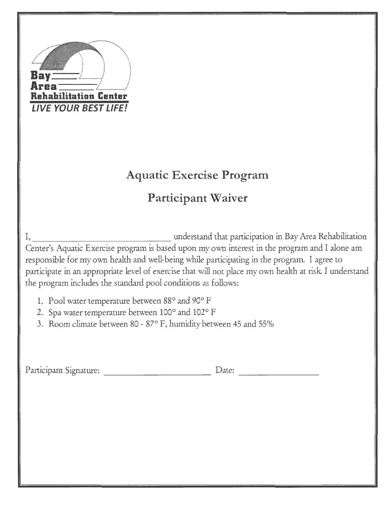| habilitation Center<br><b>LIVE YOUR BEST LIFE!</b><br><b>Aquatic Exercise Program</b>                                                                                                                                                                                                                                                                                                                                                                                                                                                                                                                          |
|----------------------------------------------------------------------------------------------------------------------------------------------------------------------------------------------------------------------------------------------------------------------------------------------------------------------------------------------------------------------------------------------------------------------------------------------------------------------------------------------------------------------------------------------------------------------------------------------------------------|
| <b>Participant Waiver</b>                                                                                                                                                                                                                                                                                                                                                                                                                                                                                                                                                                                      |
| understand that participation in Bay Area Rehabilitation<br>Center's Aquatic Exercise program is based upon my own interest in the program and I alone am<br>responsible for my own health and well-being while participating in the program. I agree to<br>participate in an appropriate level of exercise that will not place my own health at risk. I understand<br>the program includes the standard pool conditions as follows:<br>1. Pool water temperature between 88° and 90° F<br>2. Spa water temperature between 100° and 102° F<br>3. Room climate between 80 - 87° F, humidity between 45 and 55% |
| Participant Signature:                                                                                                                                                                                                                                                                                                                                                                                                                                                                                                                                                                                         |
|                                                                                                                                                                                                                                                                                                                                                                                                                                                                                                                                                                                                                |